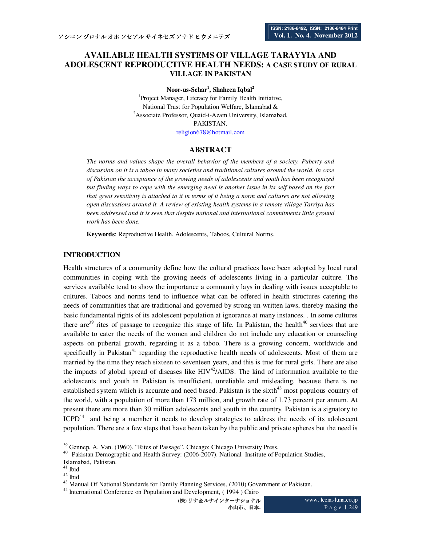# **AVAILABLE HEALTH SYSTEMS OF VILLAGE TARAYYIA AND ADOLESCENT REPRODUCTIVE HEALTH NEEDS: A CASE STUDY OF RURAL VILLAGE IN PAKISTAN**

**Noor-us-Sehar<sup>1</sup> , Shaheen Iqbal<sup>2</sup>**

<sup>1</sup>Project Manager, Literacy for Family Health Initiative, National Trust for Population Welfare, Islamabad & <sup>2</sup>Associate Professor, Quaid-i-Azam University, Islamabad, PAKISTAN.

religion678@hotmail.com

## **ABSTRACT**

*The norms and values shape the overall behavior of the members of a society. Puberty and discussion on it is a taboo in many societies and traditional cultures around the world. In case of Pakistan the acceptance of the growing needs of adolescents and youth has been recognized but finding ways to cope with the emerging need is another issue in its self based on the fact that great sensitivity is attached to it in terms of it being a norm and cultures are not allowing open discussions around it. A review of existing health systems in a remote village Tarriya has been addressed and it is seen that despite national and international commitments little ground work has been done.* 

**Keywords**: Reproductive Health, Adolescents, Taboos, Cultural Norms.

#### **INTRODUCTION**

Health structures of a community define how the cultural practices have been adopted by local rural communities in coping with the growing needs of adolescents living in a particular culture. The services available tend to show the importance a community lays in dealing with issues acceptable to cultures. Taboos and norms tend to influence what can be offered in health structures catering the needs of communities that are traditional and governed by strong un-written laws, thereby making the basic fundamental rights of its adolescent population at ignorance at many instances. . In some cultures there are<sup>39</sup> rites of passage to recognize this stage of life. In Pakistan, the health<sup>40</sup> services that are available to cater the needs of the women and children do not include any education or counseling aspects on pubertal growth, regarding it as a taboo. There is a growing concern, worldwide and specifically in Pakistan<sup>41</sup> regarding the reproductive health needs of adolescents. Most of them are married by the time they reach sixteen to seventeen years, and this is true for rural girls. There are also the impacts of global spread of diseases like  $HIV^{42}/AIDS$ . The kind of information available to the adolescents and youth in Pakistan is insufficient, unreliable and misleading, because there is no established system which is accurate and need based. Pakistan is the sixth<sup>43</sup> most populous country of the world, with a population of more than 173 million, and growth rate of 1.73 percent per annum. At present there are more than 30 million adolescents and youth in the country. Pakistan is a signatory to ICPD<sup>44</sup> and being a member it needs to develop strategies to address the needs of its adolescent population. There are a few steps that have been taken by the public and private spheres but the need is

 $\ddot{\phantom{a}}$ <sup>39</sup> Gennep, A. Van. (1960). "Rites of Passage". Chicago: Chicago University Press.

<sup>&</sup>lt;sup>40</sup> Pakistan Demographic and Health Survey: (2006-2007). National Institute of Population Studies, Islamabad, Pakistan.

 $41$  Ibid

 $42$  Ibid

<sup>&</sup>lt;sup>43</sup> Manual Of National Standards for Family Planning Services, (2010) Government of Pakistan.

<sup>44</sup> International Conference on Population and Development, ( 1994 ) Cairo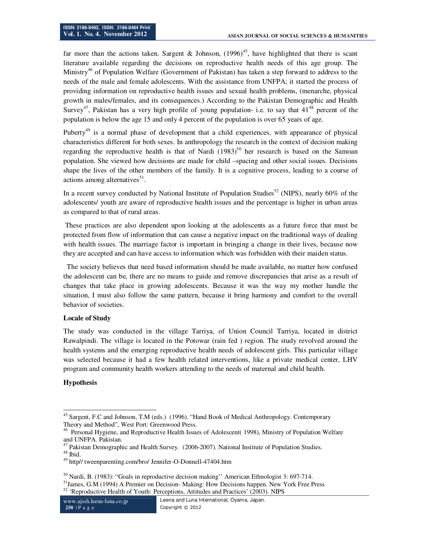far more than the actions taken. Sargent & Johnson,  $(1996)^{45}$ , have highlighted that there is scant literature available regarding the decisions on reproductive health needs of this age group. The Ministry<sup>46</sup> of Population Welfare (Government of Pakistan) has taken a step forward to address to the needs of the male and female adolescents. With the assistance from UNFPA; it started the process of providing information on reproductive health issues and sexual health problems, (menarche, physical growth in males/females, and its consequences.) According to the Pakistan Demographic and Health Survey<sup>47</sup>, Pakistan has a very high profile of young population- i.e. to say that  $41^{48}$  percent of the population is below the age 15 and only 4 percent of the population is over 65 years of age.

Puberty<sup>49</sup> is a normal phase of development that a child experiences, with appearance of physical characteristics different for both sexes. In anthropology the research in the context of decision making regarding the reproductive health is that of Nardi  $(1983)^{50}$  her research is based on the Samoan population. She viewed how decisions are made for child –spacing and other social issues. Decisions shape the lives of the other members of the family. It is a cognitive process, leading to a course of actions among alternatives<sup>51</sup>.

In a recent survey conducted by National Institute of Population Studies<sup>52</sup> (NIPS), nearly 60% of the adolescents/ youth are aware of reproductive health issues and the percentage is higher in urban areas as compared to that of rural areas.

 These practices are also dependent upon looking at the adolescents as a future force that must be protected from flow of information that can cause a negative impact on the traditional ways of dealing with health issues. The marriage factor is important in bringing a change in their lives, because now they are accepted and can have access to information which was forbidden with their maiden status.

 The society believes that need based information should be made available, no matter how confused the adolescent can be, there are no means to guide and remove discrepancies that arise as a result of changes that take place in growing adolescents. Because it was the way my mother handle the situation, I must also follow the same pattern, because it bring harmony and comfort to the overall behavior of societies.

#### **Locale of Study**

The study was conducted in the village Tarriya, of Union Council Tarriya, located in district Rawalpindi. The village is located in the Potowar (rain fed ) region. The study revolved around the health systems and the emerging reproductive health needs of adolescent girls. This particular village was selected because it had a few health related interventions, like a private medical center, LHV program and community health workers attending to the needs of maternal and child health.

#### **Hypothesis**

 $\overline{1}$ <sup>45</sup> Sargent, F.C and Johnson, T.M (eds.) (1996). "Hand Book of Medical Anthropology. Contemporary Theory and Method", West Port: Greenwood Press.

<sup>&</sup>lt;sup>46</sup> Personal Hygiene, and Reproductive Health Issues of Adolescent( 1998), Ministry of Population Welfare and UNFPA. Pakistan.

 $47$  Pakistan Demographic and Health Survey. (2006-2007). National Institute of Population Studies.  $^{\rm 48}$  Ibid.

<sup>49</sup> http// tweenparenting.com/bro/ Jennifer-O-Donnell-47404.htm

<sup>50</sup> Nardi, B. (1983): "Goals in reproductive decision making'' American Ethnologist 3: 697-714.

<sup>&</sup>lt;sup>51</sup>James, G.M (1994) A Premier on Decision- Making: How Decisions happen. New York Free Press 52 'Reproductive Health of Youth: Perceptions, Attitudes and Practices' (2003). NIPS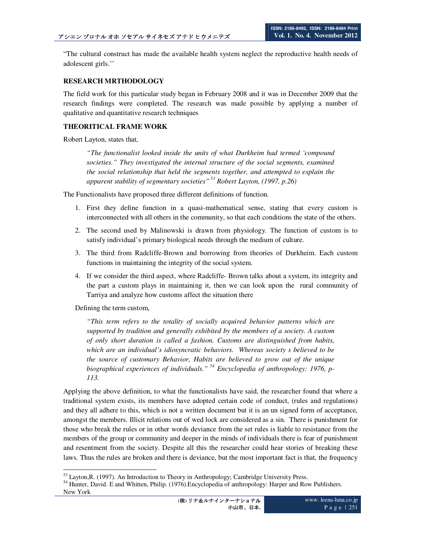"The cultural construct has made the available health system neglect the reproductive health needs of adolescent girls.''

## **RESEARCH MRTHODOLOGY**

The field work for this particular study began in February 2008 and it was in December 2009 that the research findings were completed. The research was made possible by applying a number of qualitative and quantitative research techniques

#### **THEORITICAL FRAME WORK**

Robert Layton, states that,

*"The functionalist looked inside the units of what Durkheim had termed 'compound societies." They investigated the internal structure of the social segments, examined the social relationship that held the segments together, and attempted to explain the apparent stability of segmentary societies"<sup>53</sup> Robert Layton, (1997, p.26)*

The Functionalists have proposed three different definitions of function.

- 1. First they define function in a quasi-mathematical sense, stating that every custom is interconnected with all others in the community, so that each conditions the state of the others.
- 2. The second used by Malinowski is drawn from physiology. The function of custom is to satisfy individual's primary biological needs through the medium of culture.
- 3. The third from Radcliffe-Brown and borrowing from theories of Durkheim. Each custom functions in maintaining the integrity of the social system.
- 4. If we consider the third aspect, where Radcliffe- Brown talks about a system, its integrity and the part a custom plays in maintaining it, then we can look upon the rural community of Tarriya and analyze how customs affect the situation there

Defining the term custom,

*"This term refers to the totality of socially acquired behavior patterns which are supported by tradition and generally exhibited by the members of a society. A custom of only short duration is called a fashion. Customs are distinguished from habits, which are an individual's idiosyncratic behaviors. Whereas society s believed to be the source of customary Behavior, Habits are believed to grow out of the unique biographical experiences of individuals."<sup>54</sup> Encyclopedia of anthropology: 1976, p-113.*

Applying the above definition, to what the functionalists have said, the researcher found that where a traditional system exists, its members have adopted certain code of conduct, (rules and regulations) and they all adhere to this, which is not a written document but it is an un signed form of acceptance, amongst the members. Illicit relations out of wed lock are considered as a sin. There is punishment for those who break the rules or in other words deviance from the set rules is liable to resistance from the members of the group or community and deeper in the minds of individuals there is fear of punishment and resentment from the society. Despite all this the researcher could hear stories of breaking these laws. Thus the rules are broken and there is deviance, but the most important fact is that, the frequency

 $\overline{a}$ <sup>53</sup> Layton, R. (1997). An Introduction to Theory in Anthropology; Cambridge University Press.

<sup>54</sup> Hunter, David. E and Whitten, Philip. (1976).Encyclopedia of anthropology: Harper and Row Publishers. New York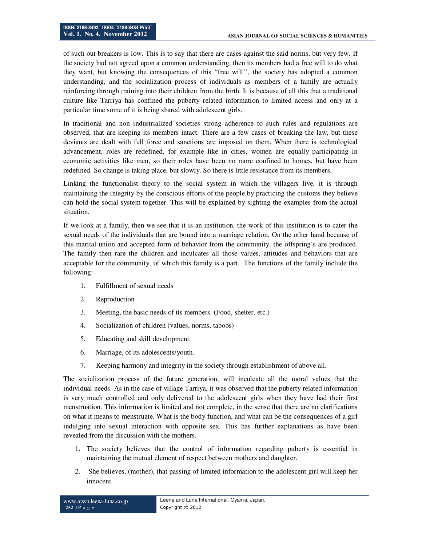of such out breakers is low. This is to say that there are cases against the said norms, but very few. If the society had not agreed upon a common understanding, then its members had a free will to do what they want, but knowing the consequences of this "free will'', the society has adopted a common understanding, and the socialization process of individuals as members of a family are actually reinforcing through training into their children from the birth. It is because of all this that a traditional culture like Tarriya has confined the puberty related information to limited access and only at a particular time some of it is being shared with adolescent girls.

In traditional and non industrialized societies strong adherence to such rules and regulations are observed, that are keeping its members intact. There are a few cases of breaking the law, but these deviants are dealt with full force and sanctions are imposed on them. When there is technological advancement, roles are redefined, for example like in cities, women are equally participating in economic activities like men, so their roles have been no more confined to homes, but have been redefined. So change is taking place, but slowly. So there is little resistance from its members.

Linking the functionalist theory to the social system in which the villagers live, it is through maintaining the integrity by the conscious efforts of the people by practicing the customs they believe can hold the social system together. This will be explained by sighting the examples from the actual situation.

If we look at a family, then we see that it is an institution, the work of this institution is to cater the sexual needs of the individuals that are bound into a marriage relation. On the other hand because of this marital union and accepted form of behavior from the community, the offspring's are produced. The family then rare the children and inculcates all those values, attitudes and behaviors that are acceptable for the community, of which this family is a part. The functions of the family include the following:

- 1. Fulfillment of sexual needs
- 2. Reproduction
- 3. Meeting, the basic needs of its members. (Food, shelter, etc.)
- 4. Socialization of children (values, norms, taboos)
- 5. Educating and skill development.
- 6. Marriage, of its adolescents/youth.
- 7. Keeping harmony and integrity in the society through establishment of above all.

The socialization process of the future generation, will inculcate all the moral values that the individual needs. As in the case of village Tarriya, it was observed that the puberty related information is very much controlled and only delivered to the adolescent girls when they have had their first menstruation. This information is limited and not complete, in the sense that there are no clarifications on what it means to menstruate. What is the body function, and what can be the consequences of a girl indulging into sexual interaction with opposite sex. This has further explanations as have been revealed from the discussion with the mothers.

- 1. The society believes that the control of information regarding puberty is essential in maintaining the mutual element of respect between mothers and daughter.
- 2. She believes, (mother), that passing of limited information to the adolescent girl will keep her innocent.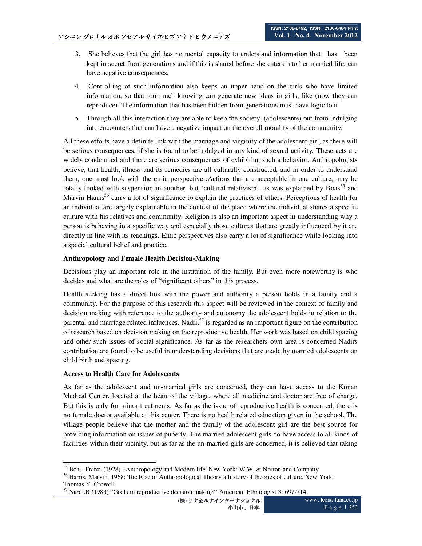- 3. She believes that the girl has no mental capacity to understand information that has been kept in secret from generations and if this is shared before she enters into her married life, can have negative consequences.
- 4. Controlling of such information also keeps an upper hand on the girls who have limited information, so that too much knowing can generate new ideas in girls, like (now they can reproduce). The information that has been hidden from generations must have logic to it.
- 5. Through all this interaction they are able to keep the society, (adolescents) out from indulging into encounters that can have a negative impact on the overall morality of the community.

All these efforts have a definite link with the marriage and virginity of the adolescent girl, as there will be serious consequences, if she is found to be indulged in any kind of sexual activity. These acts are widely condemned and there are serious consequences of exhibiting such a behavior. Anthropologists believe, that health, illness and its remedies are all culturally constructed, and in order to understand them, one must look with the emic perspective .Actions that are acceptable in one culture, may be totally looked with suspension in another, but 'cultural relativism', as was explained by Boas<sup>55</sup> and Marvin Harris<sup>56</sup> carry a lot of significance to explain the practices of others. Perceptions of health for an individual are largely explainable in the context of the place where the individual shares a specific culture with his relatives and community. Religion is also an important aspect in understanding why a person is behaving in a specific way and especially those cultures that are greatly influenced by it are directly in line with its teachings. Emic perspectives also carry a lot of significance while looking into a special cultural belief and practice.

## **Anthropology and Female Health Decision-Making**

Decisions play an important role in the institution of the family. But even more noteworthy is who decides and what are the roles of "significant others" in this process.

Health seeking has a direct link with the power and authority a person holds in a family and a community. For the purpose of this research this aspect will be reviewed in the context of family and decision making with reference to the authority and autonomy the adolescent holds in relation to the parental and marriage related influences. Nadri,  $57$  is regarded as an important figure on the contribution of research based on decision making on the reproductive health. Her work was based on child spacing and other such issues of social significance. As far as the researchers own area is concerned Nadirs contribution are found to be useful in understanding decisions that are made by married adolescents on child birth and spacing.

#### **Access to Health Care for Adolescents**

As far as the adolescent and un-married girls are concerned, they can have access to the Konan Medical Center, located at the heart of the village, where all medicine and doctor are free of charge. But this is only for minor treatments. As far as the issue of reproductive health is concerned, there is no female doctor available at this center. There is no health related education given in the school. The village people believe that the mother and the family of the adolescent girl are the best source for providing information on issues of puberty. The married adolescent girls do have access to all kinds of facilities within their vicinity, but as far as the un-married girls are concerned, it is believed that taking

 $\overline{a}$ <sup>55</sup> Boas, Franz..(1928): Anthropology and Modern life. New York: W.W, & Norton and Company

<sup>56</sup> Harris, Marvin. 1968: The Rise of Anthropological Theory a history of theories of culture. New York: Thomas Y .Crowell.

<sup>57</sup> Nardi.B (1983) "Goals in reproductive decision making'' American Ethnologist 3: 697-714.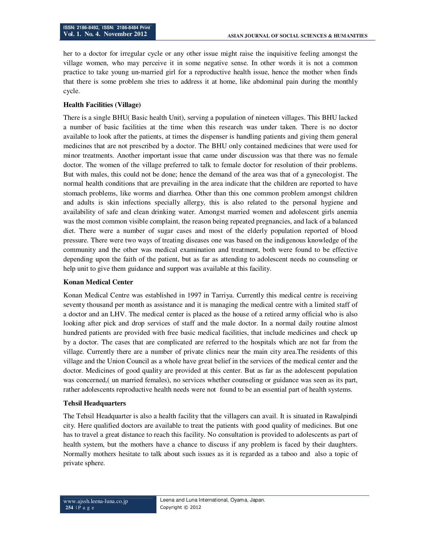her to a doctor for irregular cycle or any other issue might raise the inquisitive feeling amongst the village women, who may perceive it in some negative sense. In other words it is not a common practice to take young un-married girl for a reproductive health issue, hence the mother when finds that there is some problem she tries to address it at home, like abdominal pain during the monthly cycle.

## **Health Facilities (Village)**

There is a single BHU( Basic health Unit), serving a population of nineteen villages. This BHU lacked a number of basic facilities at the time when this research was under taken. There is no doctor available to look after the patients, at times the dispenser is handling patients and giving them general medicines that are not prescribed by a doctor. The BHU only contained medicines that were used for minor treatments. Another important issue that came under discussion was that there was no female doctor. The women of the village preferred to talk to female doctor for resolution of their problems. But with males, this could not be done; hence the demand of the area was that of a gynecologist. The normal health conditions that are prevailing in the area indicate that the children are reported to have stomach problems, like worms and diarrhea. Other than this one common problem amongst children and adults is skin infections specially allergy, this is also related to the personal hygiene and availability of safe and clean drinking water. Amongst married women and adolescent girls anemia was the most common visible complaint, the reason being repeated pregnancies, and lack of a balanced diet. There were a number of sugar cases and most of the elderly population reported of blood pressure. There were two ways of treating diseases one was based on the indigenous knowledge of the community and the other was medical examination and treatment, both were found to be effective depending upon the faith of the patient, but as far as attending to adolescent needs no counseling or help unit to give them guidance and support was available at this facility.

#### **Konan Medical Center**

Konan Medical Centre was established in 1997 in Tarriya. Currently this medical centre is receiving seventy thousand per month as assistance and it is managing the medical centre with a limited staff of a doctor and an LHV. The medical center is placed as the house of a retired army official who is also looking after pick and drop services of staff and the male doctor. In a normal daily routine almost hundred patients are provided with free basic medical facilities, that include medicines and check up by a doctor. The cases that are complicated are referred to the hospitals which are not far from the village. Currently there are a number of private clinics near the main city area.The residents of this village and the Union Council as a whole have great belief in the services of the medical center and the doctor. Medicines of good quality are provided at this center. But as far as the adolescent population was concerned,( un married females), no services whether counseling or guidance was seen as its part, rather adolescents reproductive health needs were not found to be an essential part of health systems.

#### **Tehsil Headquarters**

The Tehsil Headquarter is also a health facility that the villagers can avail. It is situated in Rawalpindi city. Here qualified doctors are available to treat the patients with good quality of medicines. But one has to travel a great distance to reach this facility. No consultation is provided to adolescents as part of health system, but the mothers have a chance to discuss if any problem is faced by their daughters. Normally mothers hesitate to talk about such issues as it is regarded as a taboo and also a topic of private sphere.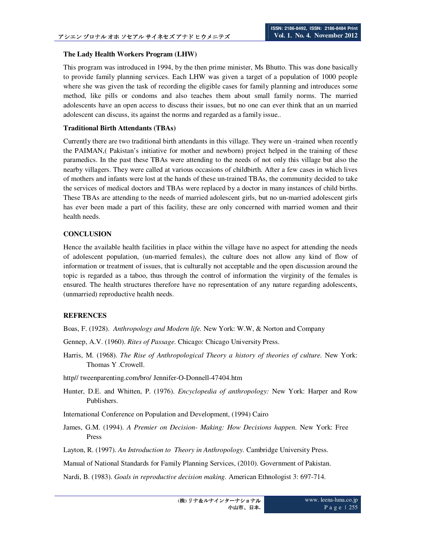#### **The Lady Health Workers Program (LHW)**

This program was introduced in 1994, by the then prime minister, Ms Bhutto. This was done basically to provide family planning services. Each LHW was given a target of a population of 1000 people where she was given the task of recording the eligible cases for family planning and introduces some method, like pills or condoms and also teaches them about small family norms. The married adolescents have an open access to discuss their issues, but no one can ever think that an un married adolescent can discuss, its against the norms and regarded as a family issue..

#### **Traditional Birth Attendants (TBAs)**

Currently there are two traditional birth attendants in this village. They were un -trained when recently the PAIMAN,( Pakistan's initiative for mother and newborn) project helped in the training of these paramedics. In the past these TBAs were attending to the needs of not only this village but also the nearby villagers. They were called at various occasions of childbirth. After a few cases in which lives of mothers and infants were lost at the hands of these un-trained TBAs, the community decided to take the services of medical doctors and TBAs were replaced by a doctor in many instances of child births. These TBAs are attending to the needs of married adolescent girls, but no un-married adolescent girls has ever been made a part of this facility, these are only concerned with married women and their health needs.

## **CONCLUSION**

Hence the available health facilities in place within the village have no aspect for attending the needs of adolescent population, (un-married females), the culture does not allow any kind of flow of information or treatment of issues, that is culturally not acceptable and the open discussion around the topic is regarded as a taboo, thus through the control of information the virginity of the females is ensured. The health structures therefore have no representation of any nature regarding adolescents, (unmarried) reproductive health needs.

#### **REFRENCES**

Boas, F. (1928). *Anthropology and Modern life.* New York: W.W, & Norton and Company

- Gennep, A.V. (1960). *Rites of Passage.* Chicago: Chicago University Press.
- Harris, M. (1968). *The Rise of Anthropological Theory a history of theories of culture.* New York: Thomas Y .Crowell.
- http// tweenparenting.com/bro/ Jennifer-O-Donnell-47404.htm
- Hunter, D.E. and Whitten, P. (1976). *Encyclopedia of anthropology:* New York: Harper and Row Publishers.
- International Conference on Population and Development, (1994) Cairo
- James, G.M. (1994). *A Premier on Decision- Making: How Decisions happen.* New York: Free Press
- Layton, R. (1997). *An Introduction to Theory in Anthropology.* Cambridge University Press.
- Manual of National Standards for Family Planning Services, (2010). Government of Pakistan.

Nardi, B. (1983). *Goals in reproductive decision making.* American Ethnologist 3: 697-714.